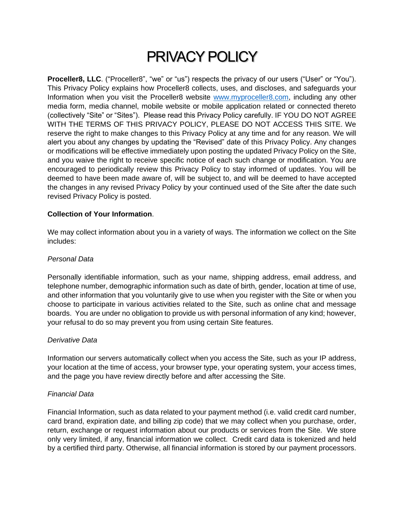# PRIVACY POLICY

**Proceller8, LLC**. ("Proceller8", "we" or "us") respects the privacy of our users ("User" or "You"). This Privacy Policy explains how Proceller8 collects, uses, and discloses, and safeguards your Information when you visit the Proceller8 website [www.myproceller8.com,](http://www.myproceller8.com/) including any other media form, media channel, mobile website or mobile application related or connected thereto (collectively "Site" or "Sites"). Please read this Privacy Policy carefully. IF YOU DO NOT AGREE WITH THE TERMS OF THIS PRIVACY POLICY, PLEASE DO NOT ACCESS THIS SITE. We reserve the right to make changes to this Privacy Policy at any time and for any reason. We will alert you about any changes by updating the "Revised" date of this Privacy Policy. Any changes or modifications will be effective immediately upon posting the updated Privacy Policy on the Site, and you waive the right to receive specific notice of each such change or modification. You are encouraged to periodically review this Privacy Policy to stay informed of updates. You will be deemed to have been made aware of, will be subject to, and will be deemed to have accepted the changes in any revised Privacy Policy by your continued used of the Site after the date such revised Privacy Policy is posted.

# **Collection of Your Information**.

We may collect information about you in a variety of ways. The information we collect on the Site includes:

# *Personal Data*

Personally identifiable information, such as your name, shipping address, email address, and telephone number, demographic information such as date of birth, gender, location at time of use, and other information that you voluntarily give to use when you register with the Site or when you choose to participate in various activities related to the Site, such as online chat and message boards. You are under no obligation to provide us with personal information of any kind; however, your refusal to do so may prevent you from using certain Site features.

#### *Derivative Data*

Information our servers automatically collect when you access the Site, such as your IP address, your location at the time of access, your browser type, your operating system, your access times, and the page you have review directly before and after accessing the Site.

#### *Financial Data*

Financial Information, such as data related to your payment method (i.e. valid credit card number, card brand, expiration date, and billing zip code) that we may collect when you purchase, order, return, exchange or request information about our products or services from the Site. We store only very limited, if any, financial information we collect. Credit card data is tokenized and held by a certified third party. Otherwise, all financial information is stored by our payment processors.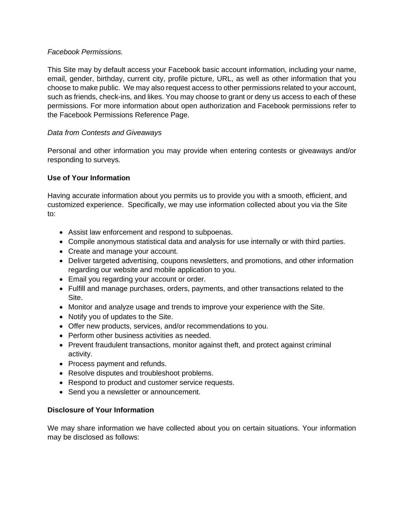# *Facebook Permissions.*

This Site may by default access your Facebook basic account information, including your name, email, gender, birthday, current city, profile picture, URL, as well as other information that you choose to make public. We may also request access to other permissions related to your account, such as friends, check-ins, and likes. You may choose to grant or deny us access to each of these permissions. For more information about open authorization and Facebook permissions refer to the Facebook Permissions Reference Page.

# *Data from Contests and Giveaways*

Personal and other information you may provide when entering contests or giveaways and/or responding to surveys.

# **Use of Your Information**

Having accurate information about you permits us to provide you with a smooth, efficient, and customized experience. Specifically, we may use information collected about you via the Site to:

- Assist law enforcement and respond to subpoenas.
- Compile anonymous statistical data and analysis for use internally or with third parties.
- Create and manage your account.
- Deliver targeted advertising, coupons newsletters, and promotions, and other information regarding our website and mobile application to you.
- Email you regarding your account or order.
- Fulfill and manage purchases, orders, payments, and other transactions related to the Site.
- Monitor and analyze usage and trends to improve your experience with the Site.
- Notify you of updates to the Site.
- Offer new products, services, and/or recommendations to you.
- Perform other business activities as needed.
- Prevent fraudulent transactions, monitor against theft, and protect against criminal activity.
- Process payment and refunds.
- Resolve disputes and troubleshoot problems.
- Respond to product and customer service requests.
- Send you a newsletter or announcement.

# **Disclosure of Your Information**

We may share information we have collected about you on certain situations. Your information may be disclosed as follows: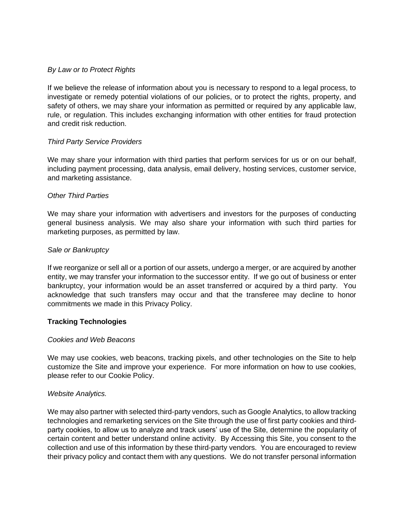## *By Law or to Protect Rights*

If we believe the release of information about you is necessary to respond to a legal process, to investigate or remedy potential violations of our policies, or to protect the rights, property, and safety of others, we may share your information as permitted or required by any applicable law, rule, or regulation. This includes exchanging information with other entities for fraud protection and credit risk reduction.

## *Third Party Service Providers*

We may share your information with third parties that perform services for us or on our behalf, including payment processing, data analysis, email delivery, hosting services, customer service, and marketing assistance.

## *Other Third Parties*

We may share your information with advertisers and investors for the purposes of conducting general business analysis. We may also share your information with such third parties for marketing purposes, as permitted by law.

## *Sale or Bankruptcy*

If we reorganize or sell all or a portion of our assets, undergo a merger, or are acquired by another entity, we may transfer your information to the successor entity. If we go out of business or enter bankruptcy, your information would be an asset transferred or acquired by a third party. You acknowledge that such transfers may occur and that the transferee may decline to honor commitments we made in this Privacy Policy.

# **Tracking Technologies**

#### *Cookies and Web Beacons*

We may use cookies, web beacons, tracking pixels, and other technologies on the Site to help customize the Site and improve your experience. For more information on how to use cookies, please refer to our Cookie Policy.

#### *Website Analytics.*

We may also partner with selected third-party vendors, such as Google Analytics, to allow tracking technologies and remarketing services on the Site through the use of first party cookies and thirdparty cookies, to allow us to analyze and track users' use of the Site, determine the popularity of certain content and better understand online activity. By Accessing this Site, you consent to the collection and use of this information by these third-party vendors. You are encouraged to review their privacy policy and contact them with any questions. We do not transfer personal information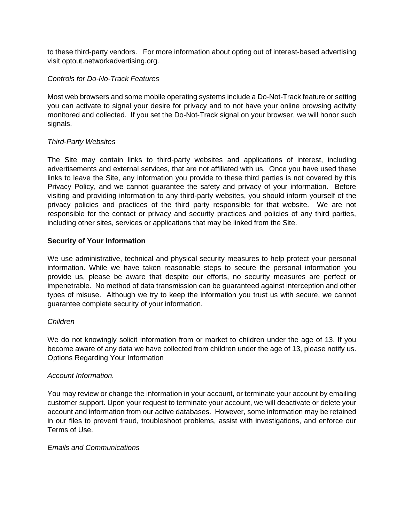to these third-party vendors. For more information about opting out of interest-based advertising visit optout.networkadvertising.org.

# *Controls for Do-No-Track Features*

Most web browsers and some mobile operating systems include a Do-Not-Track feature or setting you can activate to signal your desire for privacy and to not have your online browsing activity monitored and collected. If you set the Do-Not-Track signal on your browser, we will honor such signals.

## *Third-Party Websites*

The Site may contain links to third-party websites and applications of interest, including advertisements and external services, that are not affiliated with us. Once you have used these links to leave the Site, any information you provide to these third parties is not covered by this Privacy Policy, and we cannot guarantee the safety and privacy of your information. Before visiting and providing information to any third-party websites, you should inform yourself of the privacy policies and practices of the third party responsible for that website. We are not responsible for the contact or privacy and security practices and policies of any third parties, including other sites, services or applications that may be linked from the Site.

## **Security of Your Information**

We use administrative, technical and physical security measures to help protect your personal information. While we have taken reasonable steps to secure the personal information you provide us, please be aware that despite our efforts, no security measures are perfect or impenetrable. No method of data transmission can be guaranteed against interception and other types of misuse. Although we try to keep the information you trust us with secure, we cannot guarantee complete security of your information.

# *Children*

We do not knowingly solicit information from or market to children under the age of 13. If you become aware of any data we have collected from children under the age of 13, please notify us. Options Regarding Your Information

#### *Account Information.*

You may review or change the information in your account, or terminate your account by emailing customer support. Upon your request to terminate your account, we will deactivate or delete your account and information from our active databases. However, some information may be retained in our files to prevent fraud, troubleshoot problems, assist with investigations, and enforce our Terms of Use.

#### *Emails and Communications*